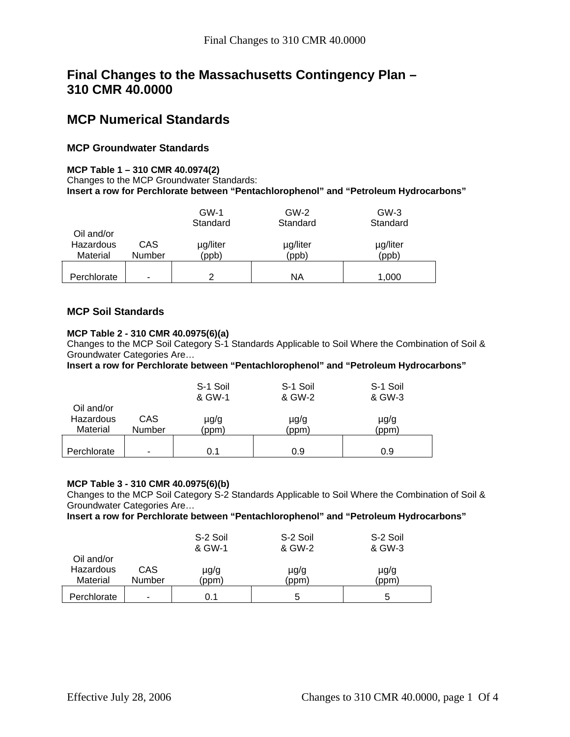# **Final Changes to the Massachusetts Contingency Plan – 310 CMR 40.0000**

## **MCP Numerical Standards**

## **MCP Groundwater Standards**

### **MCP Table 1 – 310 CMR 40.0974(2)**

Changes to the MCP Groundwater Standards: **Insert a row for Perchlorate between "Pentachlorophenol" and "Petroleum Hydrocarbons"** 

|                    |     | $GW-1$   | $GW-2$   | $GW-3$   |  |
|--------------------|-----|----------|----------|----------|--|
|                    |     | Standard | Standard | Standard |  |
| Oil and/or         |     |          |          |          |  |
| Hazardous          | CAS | µg/liter | µg/liter | µg/liter |  |
| Material<br>Number |     | (ppb)    | (ppb)    | (ppb)    |  |
|                    |     |          |          |          |  |
| Perchlorate        | -   | っ        | ΝA       | 1,000    |  |

## **MCP Soil Standards**

### **MCP Table 2 - 310 CMR 40.0975(6)(a)**

Changes to the MCP Soil Category S-1 Standards Applicable to Soil Where the Combination of Soil & Groundwater Categories Are…

**Insert a row for Perchlorate between "Pentachlorophenol" and "Petroleum Hydrocarbons"** 

|                                     |                | S-1 Soil<br>& GW-1 | S-1 Soil<br>& GW-2 | S-1 Soil<br>& GW-3 |
|-------------------------------------|----------------|--------------------|--------------------|--------------------|
| Oil and/or<br>Hazardous<br>Material | CAS.<br>Number | µg/g<br>(ppm)      | $\mu$ g/g<br>(ppm) | µg/g<br>(ppm)      |
| Perchlorate                         | -              | 0.1                | 0.9                | 0.9                |

#### **MCP Table 3 - 310 CMR 40.0975(6)(b)**

Changes to the MCP Soil Category S-2 Standards Applicable to Soil Where the Combination of Soil & Groundwater Categories Are…

**Insert a row for Perchlorate between "Pentachlorophenol" and "Petroleum Hydrocarbons"** 

|                                     |               | S-2 Soil<br>& GW-1 | S-2 Soil<br>& GW-2 | S-2 Soil<br>& GW-3 |
|-------------------------------------|---------------|--------------------|--------------------|--------------------|
| Oil and/or<br>Hazardous<br>Material | CAS<br>Number | µg/g<br>(ppm)      | µg/g<br>(ppm)      | $\mu$ g/g<br>(ppm) |
| Perchlorate                         | -             | 0.1                | 5                  | 5                  |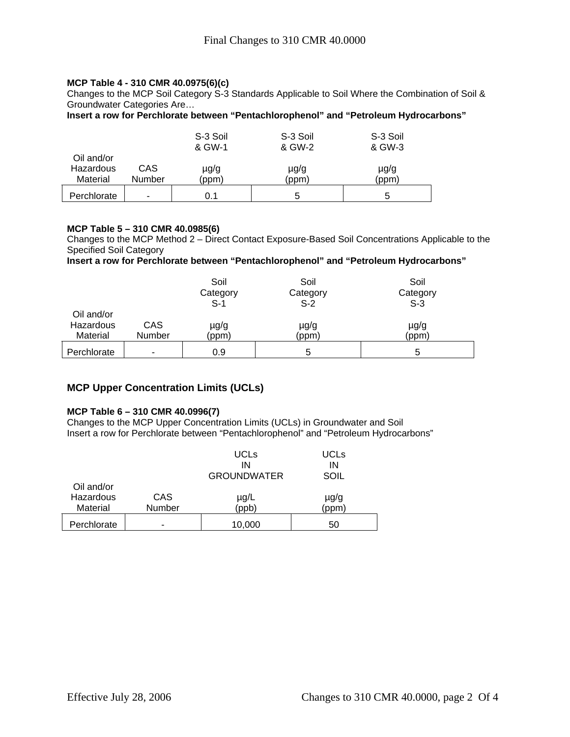### **MCP Table 4 - 310 CMR 40.0975(6)(c)**

Changes to the MCP Soil Category S-3 Standards Applicable to Soil Where the Combination of Soil & Groundwater Categories Are…

**Insert a row for Perchlorate between "Pentachlorophenol" and "Petroleum Hydrocarbons"** 

| Oil and/or            |               | S-3 Soil<br>& GW-1 | S-3 Soil<br>& GW-2 | S-3 Soil<br>& GW-3 |  |
|-----------------------|---------------|--------------------|--------------------|--------------------|--|
| Hazardous<br>Material | CAS<br>Number | µg/g<br>(ppm)      | µg/g<br>(ppm)      | µg/g<br>(ppm)      |  |
| Perchlorate           | -             | 0.1                | 5                  | 5                  |  |

## **MCP Table 5 – 310 CMR 40.0985(6)**

Changes to the MCP Method 2 – Direct Contact Exposure-Based Soil Concentrations Applicable to the Specified Soil Category

**Insert a row for Perchlorate between "Pentachlorophenol" and "Petroleum Hydrocarbons"** 

|                                     |               | Soil<br>Category<br>$S-1$ | Soil<br>Category<br>$S-2$ | Soil<br>Category<br>$S-3$ |
|-------------------------------------|---------------|---------------------------|---------------------------|---------------------------|
| Oil and/or<br>Hazardous<br>Material | CAS<br>Number | µg/g<br>(ppm)             | µg/g<br>(ppm)             | µg/g<br>(ppm)             |
| Perchlorate                         | -             | 0.9                       | 5                         | 5                         |

## **MCP Upper Concentration Limits (UCLs)**

#### **MCP Table 6 – 310 CMR 40.0996(7)**

Changes to the MCP Upper Concentration Limits (UCLs) in Groundwater and Soil Insert a row for Perchlorate between "Pentachlorophenol" and "Petroleum Hydrocarbons"

|                                     |                      | <b>UCLs</b><br>IN<br><b>GROUNDWATER</b> | <b>UCLS</b><br>ΙN<br>SOIL |
|-------------------------------------|----------------------|-----------------------------------------|---------------------------|
| Oil and/or<br>Hazardous<br>Material | CAS<br><b>Number</b> | µg/L<br>(ppb)                           | $\mu$ g/g<br>ppm          |
| Perchlorate                         |                      | 10,000                                  | 50                        |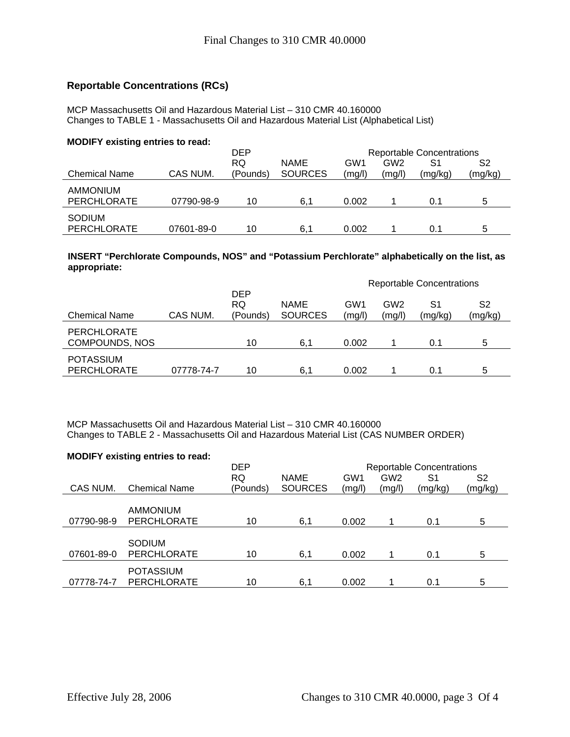## **Reportable Concentrations (RCs)**

MCP Massachusetts Oil and Hazardous Material List – 310 CMR 40.160000 Changes to TABLE 1 - Massachusetts Oil and Hazardous Material List (Alphabetical List)

#### **MODIFY existing entries to read:**

|                      |            | DEP<br><b>Reportable Concentrations</b> |                |        |                 |         |         |
|----------------------|------------|-----------------------------------------|----------------|--------|-----------------|---------|---------|
|                      |            | RQ                                      | <b>NAME</b>    | GW1    | GW <sub>2</sub> | S1      | S2      |
| <b>Chemical Name</b> | CAS NUM.   | (Pounds)                                | <b>SOURCES</b> | (mg/l) | (mg/l)          | (mg/kg) | (mg/kg) |
| <b>AMMONIUM</b>      |            |                                         |                |        |                 |         |         |
| PERCHLORATE          | 07790-98-9 | 10                                      | 6.1            | 0.002  |                 | 0.1     | 5       |
| <b>SODIUM</b>        |            |                                         |                |        |                 |         |         |
| PERCHLORATE          | 07601-89-0 | 10                                      | 6,1            | 0.002  |                 | 0.1     | 5       |

### **INSERT "Perchlorate Compounds, NOS" and "Potassium Perchlorate" alphabetically on the list, as appropriate:**

|                                             |            |                                     |                               | <b>Reportable Concentrations</b> |                           |               |               |  |
|---------------------------------------------|------------|-------------------------------------|-------------------------------|----------------------------------|---------------------------|---------------|---------------|--|
| <b>Chemical Name</b>                        | CAS NUM.   | <b>DEP</b><br><b>RQ</b><br>(Pounds) | <b>NAME</b><br><b>SOURCES</b> | GW1<br>(mg/l)                    | GW <sub>2</sub><br>(mg/l) | S1<br>(mg/kg) | S2<br>(mg/kg) |  |
| <b>PERCHLORATE</b><br><b>COMPOUNDS, NOS</b> |            | 10                                  | 6.1                           | 0.002                            |                           | 0.1           | 5             |  |
| <b>POTASSIUM</b><br><b>PERCHLORATE</b>      | 07778-74-7 | 10                                  | 6,1                           | 0.002                            |                           | 0.1           | 5             |  |

MCP Massachusetts Oil and Hazardous Material List – 310 CMR 40.160000 Changes to TABLE 2 - Massachusetts Oil and Hazardous Material List (CAS NUMBER ORDER)

| <b>MODIFY existing entries to read:</b> |                      |            |                |        |                 |                                  |         |
|-----------------------------------------|----------------------|------------|----------------|--------|-----------------|----------------------------------|---------|
|                                         |                      | <b>DEP</b> |                |        |                 | <b>Reportable Concentrations</b> |         |
|                                         |                      | <b>RQ</b>  | <b>NAME</b>    | GW1    | GW <sub>2</sub> | S1                               | S2      |
| CAS NUM.                                | <b>Chemical Name</b> | (Pounds)   | <b>SOURCES</b> | (mg/l) | (mg/l)          | (mg/kg)                          | (mg/kg) |
|                                         |                      |            |                |        |                 |                                  |         |
|                                         | <b>AMMONIUM</b>      |            |                |        |                 |                                  |         |
| 07790-98-9                              | <b>PERCHLORATE</b>   | 10         | 6,1            | 0.002  |                 | 0.1                              | 5       |
|                                         |                      |            |                |        |                 |                                  |         |
|                                         | <b>SODIUM</b>        |            |                |        |                 |                                  |         |
| 07601-89-0                              | <b>PERCHLORATE</b>   | 10         | 6,1            | 0.002  |                 | 0.1                              | 5       |
|                                         | <b>POTASSIUM</b>     |            |                |        |                 |                                  |         |
| 07778-74-7                              | <b>PERCHLORATE</b>   | 10         | 6,1            | 0.002  |                 | 0.1                              | 5       |
|                                         |                      |            |                |        |                 |                                  |         |